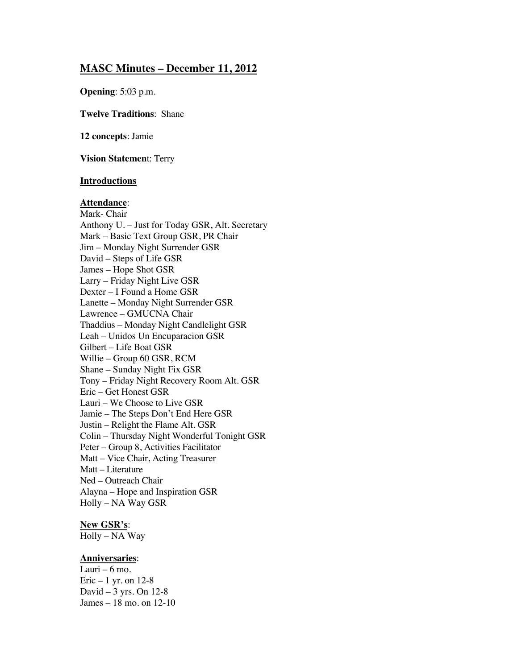## **MASC Minutes – December 11, 2012**

**Opening**: 5:03 p.m.

**Twelve Traditions**: Shane

**12 concepts**: Jamie

**Vision Statemen**t: Terry

#### **Introductions**

#### **Attendance**:

Mark- Chair Anthony U. – Just for Today GSR, Alt. Secretary Mark – Basic Text Group GSR, PR Chair Jim – Monday Night Surrender GSR David – Steps of Life GSR James – Hope Shot GSR Larry – Friday Night Live GSR Dexter – I Found a Home GSR Lanette – Monday Night Surrender GSR Lawrence – GMUCNA Chair Thaddius – Monday Night Candlelight GSR Leah – Unidos Un Encuparacion GSR Gilbert – Life Boat GSR Willie – Group 60 GSR, RCM Shane – Sunday Night Fix GSR Tony – Friday Night Recovery Room Alt. GSR Eric – Get Honest GSR Lauri – We Choose to Live GSR Jamie – The Steps Don't End Here GSR Justin – Relight the Flame Alt. GSR Colin – Thursday Night Wonderful Tonight GSR Peter – Group 8, Activities Facilitator Matt – Vice Chair, Acting Treasurer Matt – Literature Ned – Outreach Chair Alayna – Hope and Inspiration GSR Holly – NA Way GSR

#### **New GSR's**:

Holly – NA Way

#### **Anniversaries**:

Lauri –  $6$  mo. Eric  $-1$  yr. on 12-8 David – 3 yrs. On 12-8 James – 18 mo. on 12-10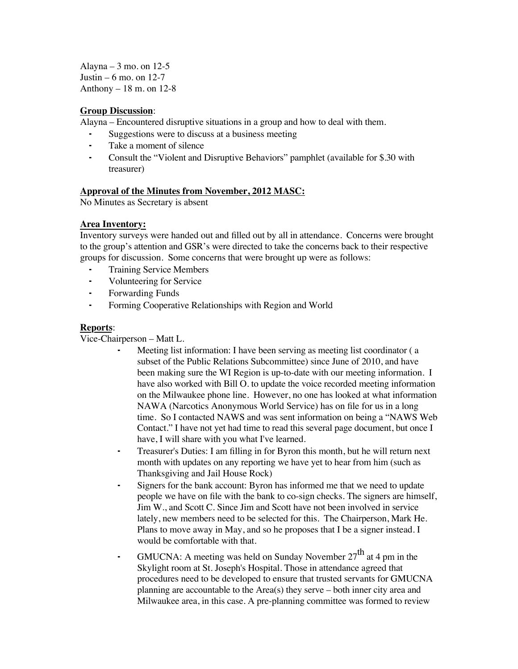Alayna – 3 mo. on  $12-5$ Justin – 6 mo. on  $12-7$ Anthony – 18 m. on 12-8

#### **Group Discussion**:

Alayna – Encountered disruptive situations in a group and how to deal with them.

- Suggestions were to discuss at a business meeting
- Take a moment of silence
- Consult the "Violent and Disruptive Behaviors" pamphlet (available for \$.30 with treasurer)

#### **Approval of the Minutes from November, 2012 MASC:**

No Minutes as Secretary is absent

#### **Area Inventory:**

Inventory surveys were handed out and filled out by all in attendance. Concerns were brought to the group's attention and GSR's were directed to take the concerns back to their respective groups for discussion. Some concerns that were brought up were as follows:

- ⁃ Training Service Members
- ⁃ Volunteering for Service
- Forwarding Funds
- ⁃ Forming Cooperative Relationships with Region and World

## **Reports**:

Vice-Chairperson – Matt L.

- Meeting list information: I have been serving as meeting list coordinator (a subset of the Public Relations Subcommittee) since June of 2010, and have been making sure the WI Region is up-to-date with our meeting information. I have also worked with Bill O. to update the voice recorded meeting information on the Milwaukee phone line. However, no one has looked at what information NAWA (Narcotics Anonymous World Service) has on file for us in a long time. So I contacted NAWS and was sent information on being a "NAWS Web Contact." I have not yet had time to read this several page document, but once I have, I will share with you what I've learned.
- ⁃ Treasurer's Duties: I am filling in for Byron this month, but he will return next month with updates on any reporting we have yet to hear from him (such as Thanksgiving and Jail House Rock)
- ⁃ Signers for the bank account: Byron has informed me that we need to update people we have on file with the bank to co-sign checks. The signers are himself, Jim W., and Scott C. Since Jim and Scott have not been involved in service lately, new members need to be selected for this. The Chairperson, Mark He. Plans to move away in May, and so he proposes that I be a signer instead. I would be comfortable with that.
- GMUCNA: A meeting was held on Sunday November  $27<sup>th</sup>$  at 4 pm in the Skylight room at St. Joseph's Hospital. Those in attendance agreed that procedures need to be developed to ensure that trusted servants for GMUCNA planning are accountable to the Area(s) they serve – both inner city area and Milwaukee area, in this case. A pre-planning committee was formed to review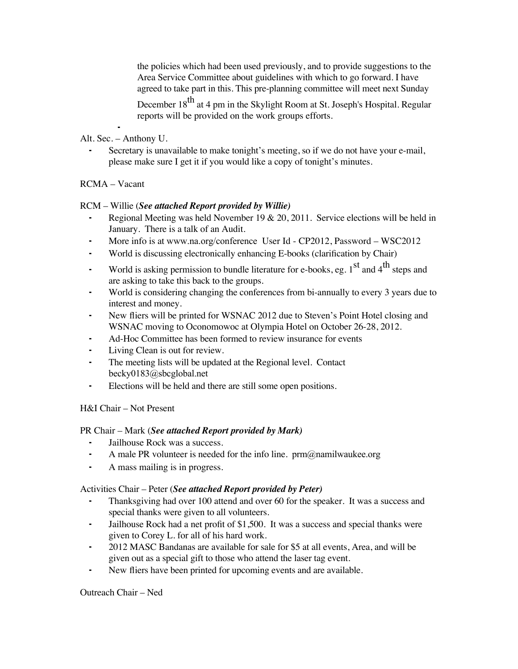the policies which had been used previously, and to provide suggestions to the Area Service Committee about guidelines with which to go forward. I have agreed to take part in this. This pre-planning committee will meet next Sunday

December 18<sup>th</sup> at 4 pm in the Skylight Room at St. Joseph's Hospital. Regular reports will be provided on the work groups efforts.

⁃ Alt. Sec. – Anthony U.

Secretary is unavailable to make tonight's meeting, so if we do not have your e-mail, please make sure I get it if you would like a copy of tonight's minutes.

## RCMA – Vacant

#### RCM – Willie (*See attached Report provided by Willie)*

- Regional Meeting was held November 19  $& 20, 2011$ . Service elections will be held in January. There is a talk of an Audit.
- More info is at [www.na.org/conference](http://www.na.org/conference) User Id CP2012, Password WSC2012
- ⁃ World is discussing electronically enhancing E-books (clarification by Chair)
- **•** World is asking permission to bundle literature for e-books, eg.  $1<sup>st</sup>$  and  $4<sup>th</sup>$  steps and are asking to take this back to the groups.
- World is considering changing the conferences from bi-annually to every 3 years due to interest and money.
- New fliers will be printed for WSNAC 2012 due to Steven's Point Hotel closing and WSNAC moving to Oconomowoc at Olympia Hotel on October 26-28, 2012.
- Ad-Hoc Committee has been formed to review insurance for events
- ⁃ Living Clean is out for review.
- The meeting lists will be updated at the Regional level. Contact [becky0183@sbcglobal.net](mailto:becky0183@sbcglobal.net)
- Elections will be held and there are still some open positions.

#### H&I Chair – Not Present

#### PR Chair – Mark (*See attached Report provided by Mark)*

- Jailhouse Rock was a success.
- A male PR volunteer is needed for the info line.  $\text{prm}(a)$  namilwaukee.org
- ⁃ A mass mailing is in progress.

#### Activities Chair – Peter (*See attached Report provided by Peter)*

- Thanksgiving had over 100 attend and over 60 for the speaker. It was a success and special thanks were given to all volunteers.
- ⁃ Jailhouse Rock had a net profit of \$1,500. It was a success and special thanks were given to Corey L. for all of his hard work.
- ⁃ 2012 MASC Bandanas are available for sale for \$5 at all events, Area, and will be given out as a special gift to those who attend the laser tag event.
- New fliers have been printed for upcoming events and are available.

Outreach Chair – Ned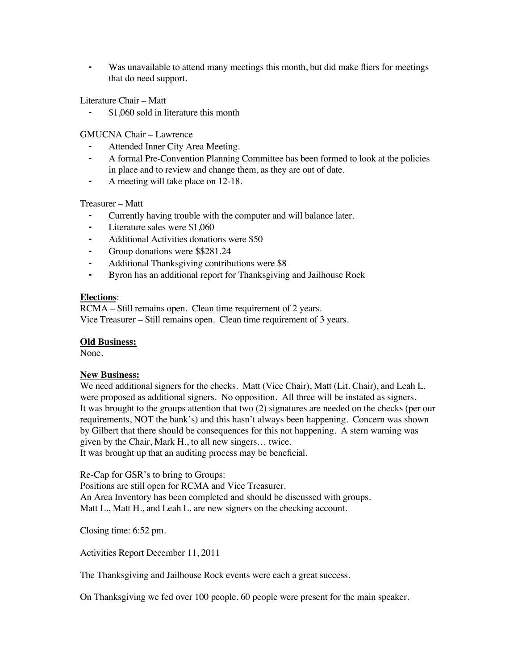Was unavailable to attend many meetings this month, but did make fliers for meetings that do need support.

Literature Chair – Matt

⁃ \$1,060 sold in literature this month

GMUCNA Chair – Lawrence

- Attended Inner City Area Meeting.
- ⁃ A formal Pre-Convention Planning Committee has been formed to look at the policies in place and to review and change them, as they are out of date.
- A meeting will take place on 12-18.

#### Treasurer – Matt

- Currently having trouble with the computer and will balance later.
- ⁃ Literature sales were \$1,060
- Additional Activities donations were \$50
- Group donations were \$\$281.24
- Additional Thanksgiving contributions were \$8
- Byron has an additional report for Thanksgiving and Jailhouse Rock

#### **Elections**:

RCMA – Still remains open. Clean time requirement of 2 years. Vice Treasurer – Still remains open. Clean time requirement of 3 years.

#### **Old Business:**

None.

#### **New Business:**

We need additional signers for the checks. Matt (Vice Chair), Matt (Lit. Chair), and Leah L. were proposed as additional signers. No opposition. All three will be instated as signers. It was brought to the groups attention that two (2) signatures are needed on the checks (per our requirements, NOT the bank's) and this hasn't always been happening. Concern was shown by Gilbert that there should be consequences for this not happening. A stern warning was given by the Chair, Mark H., to all new singers… twice. It was brought up that an auditing process may be beneficial.

Re-Cap for GSR's to bring to Groups:

Positions are still open for RCMA and Vice Treasurer.

An Area Inventory has been completed and should be discussed with groups. Matt L., Matt H., and Leah L. are new signers on the checking account.

Closing time: 6:52 pm.

Activities Report December 11, 2011

The Thanksgiving and Jailhouse Rock events were each a great success.

On Thanksgiving we fed over 100 people. 60 people were present for the main speaker.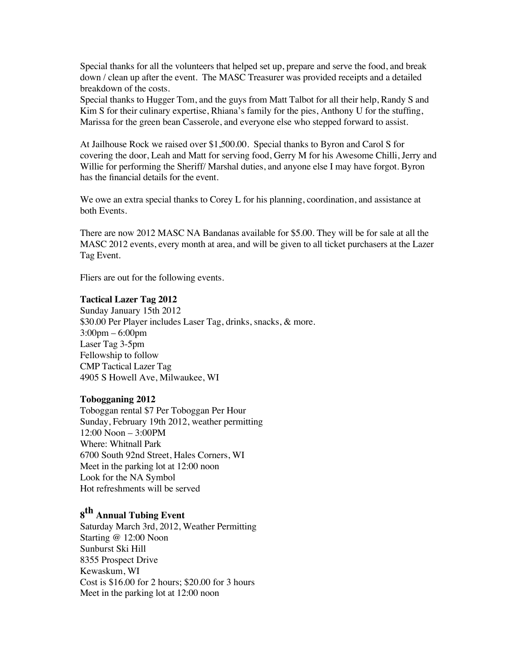Special thanks for all the volunteers that helped set up, prepare and serve the food, and break down / clean up after the event. The MASC Treasurer was provided receipts and a detailed breakdown of the costs.

Special thanks to Hugger Tom, and the guys from Matt Talbot for all their help, Randy S and Kim S for their culinary expertise, Rhiana's family for the pies, Anthony U for the stuffing, Marissa for the green bean Casserole, and everyone else who stepped forward to assist.

At Jailhouse Rock we raised over \$1,500.00. Special thanks to Byron and Carol S for covering the door, Leah and Matt for serving food, Gerry M for his Awesome Chilli, Jerry and Willie for performing the Sheriff/ Marshal duties, and anyone else I may have forgot. Byron has the financial details for the event.

We owe an extra special thanks to Corey L for his planning, coordination, and assistance at both Events.

There are now 2012 MASC NA Bandanas available for \$5.00. They will be for sale at all the MASC 2012 events, every month at area, and will be given to all ticket purchasers at the Lazer Tag Event.

Fliers are out for the following events.

#### **Tactical Lazer Tag 2012**

Sunday January 15th 2012 \$30.00 Per Player includes Laser Tag, drinks, snacks, & more. 3:00pm – 6:00pm Laser Tag 3-5pm Fellowship to follow CMP Tactical Lazer Tag 4905 S Howell Ave, Milwaukee, WI

#### **Tobogganing 2012**

Toboggan rental \$7 Per Toboggan Per Hour Sunday, February 19th 2012, weather permitting 12:00 Noon – 3:00PM Where: Whitnall Park 6700 South 92nd Street, Hales Corners, WI Meet in the parking lot at 12:00 noon Look for the NA Symbol Hot refreshments will be served

# **<sup>8</sup>th Annual Tubing Event**

Saturday March 3rd, 2012, Weather Permitting Starting @ 12:00 Noon Sunburst Ski Hill 8355 Prospect Drive Kewaskum, WI Cost is \$16.00 for 2 hours; \$20.00 for 3 hours Meet in the parking lot at 12:00 noon